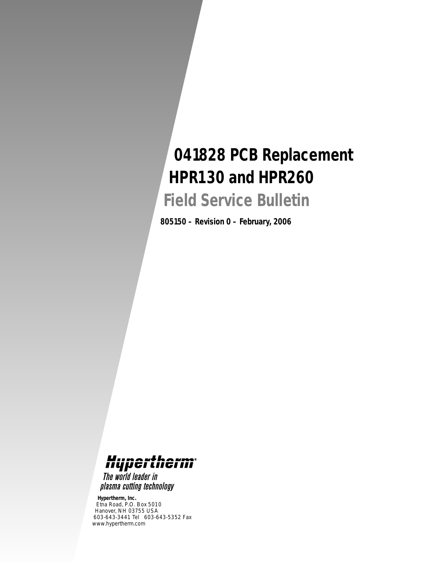# *041828 PCB Replacement HPR130 and HPR260*

*Field Service Bulletin*

*805150 – Revision 0 – February, 2006*



The world leader in plasma cutting technology

*Hypertherm, Inc. Etna Road, P.O. Box 5010 Hanover, NH 03755 USA 603-643-3441 Tel 603-643-5352 Fax www.hypertherm.com*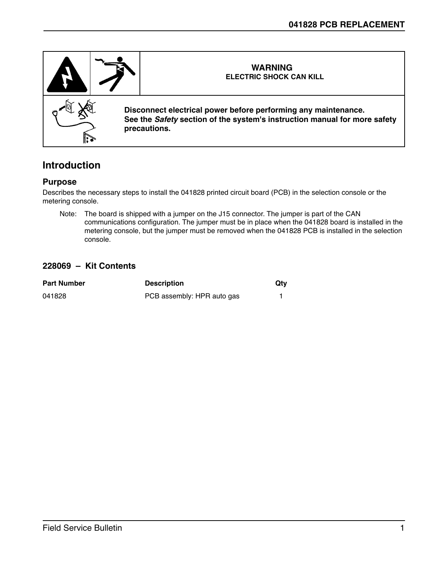

## **Introduction**

#### **Purpose**

Describes the necessary steps to install the 041828 printed circuit board (PCB) in the selection console or the metering console.

Note: The board is shipped with a jumper on the J15 connector. The jumper is part of the CAN communications configuration. The jumper must be in place when the 041828 board is installed in the metering console, but the jumper must be removed when the 041828 PCB is installed in the selection console.

#### **228069 – Kit Contents**

| <b>Part Number</b> | <b>Description</b>         | Qtv |
|--------------------|----------------------------|-----|
| 041828             | PCB assembly: HPR auto gas |     |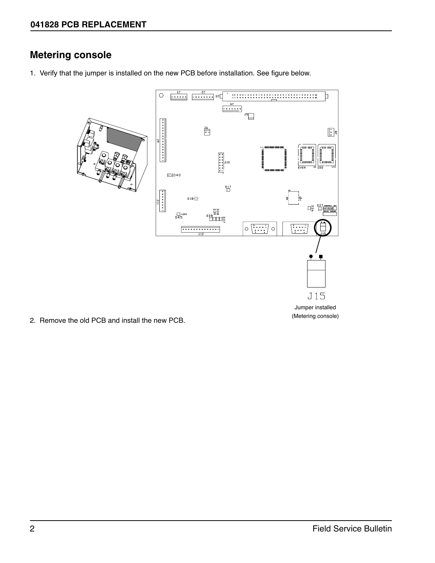# **Metering console**

1. Verify that the jumper is installed on the new PCB before installation. See figure below.



2. Remove the old PCB and install the new PCB.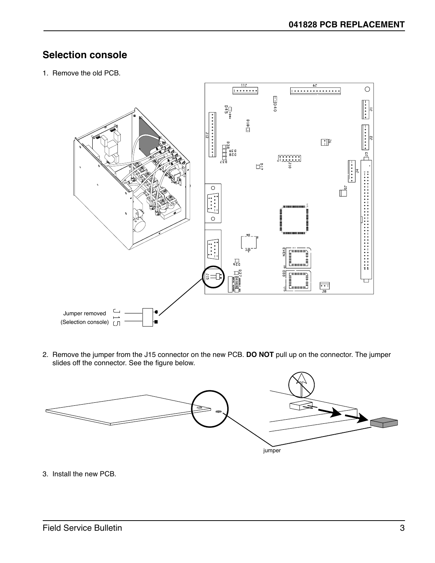## **Selection console**

1. Remove the old PCB.



2. Remove the jumper from the J15 connector on the new PCB. **DO NOT** pull up on the connector. The jumper slides off the connector. See the figure below.



3. Install the new PCB.